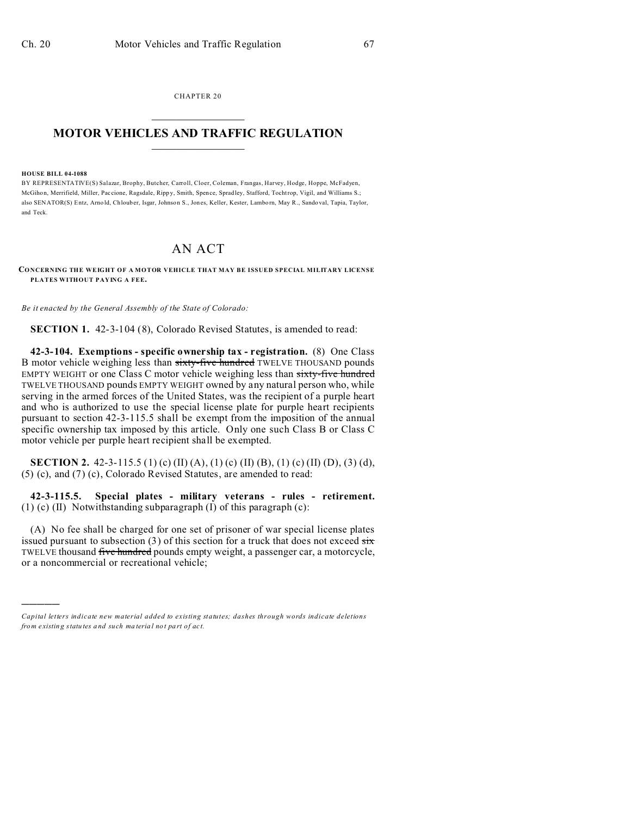CHAPTER 20  $\overline{\phantom{a}}$  , where  $\overline{\phantom{a}}$ 

## **MOTOR VEHICLES AND TRAFFIC REGULATION**  $\frac{1}{2}$  ,  $\frac{1}{2}$  ,  $\frac{1}{2}$  ,  $\frac{1}{2}$  ,  $\frac{1}{2}$  ,  $\frac{1}{2}$  ,  $\frac{1}{2}$

## **HOUSE BILL 04-1088**

)))))

BY REPRESENTATIVE(S) Salazar, Brophy, Butcher, Carroll, Cloer, Coleman, Frangas, Harvey, Hodge, Hoppe, McFadyen, McGihon, Merrifield, Miller, Paccione, Ragsdale, Rippy, Smith, Spence, Spradley, Stafford, Tochtrop, Vigil, and Williams S.; also SENATOR(S) Entz, Arno ld, Chloub er, Isgar, Johnson S., Jones, Keller, Kester, Lamborn, May R., Sando val, Tapia, Taylor, and Teck.

## AN ACT

**CONCERNING THE WEIGHT OF A MOTOR VEHICLE THAT MAY BE ISSUED SPECIAL MILITARY LICENSE PLATES WITHOUT PAYING A FEE.**

*Be it enacted by the General Assembly of the State of Colorado:*

**SECTION 1.** 42-3-104 (8), Colorado Revised Statutes, is amended to read:

**42-3-104. Exemptions - specific ownership tax - registration.** (8) One Class B motor vehicle weighing less than sixty-five hundred TWELVE THOUSAND pounds EMPTY WEIGHT or one Class C motor vehicle weighing less than sixty-five hundred TWELVE THOUSAND pounds EMPTY WEIGHT owned by any natural person who, while serving in the armed forces of the United States, was the recipient of a purple heart and who is authorized to use the special license plate for purple heart recipients pursuant to section 42-3-115.5 shall be exempt from the imposition of the annual specific ownership tax imposed by this article. Only one such Class B or Class C motor vehicle per purple heart recipient shall be exempted.

**SECTION 2.** 42-3-115.5 (1) (c) (II) (A), (1) (c) (II) (B), (1) (c) (II) (D), (3) (d), (5) (c), and (7) (c), Colorado Revised Statutes, are amended to read:

**42-3-115.5. Special plates - military veterans - rules - retirement.** (1) (c) (II) Notwithstanding subparagraph (I) of this paragraph (c):

(A) No fee shall be charged for one set of prisoner of war special license plates issued pursuant to subsection (3) of this section for a truck that does not exceed  $\frac{1}{\text{idx}}$ TWELVE thousand five hundred pounds empty weight, a passenger car, a motorcycle, or a noncommercial or recreational vehicle;

*Capital letters indicate new material added to existing statutes; dashes through words indicate deletions from e xistin g statu tes a nd such ma teria l no t pa rt of ac t.*